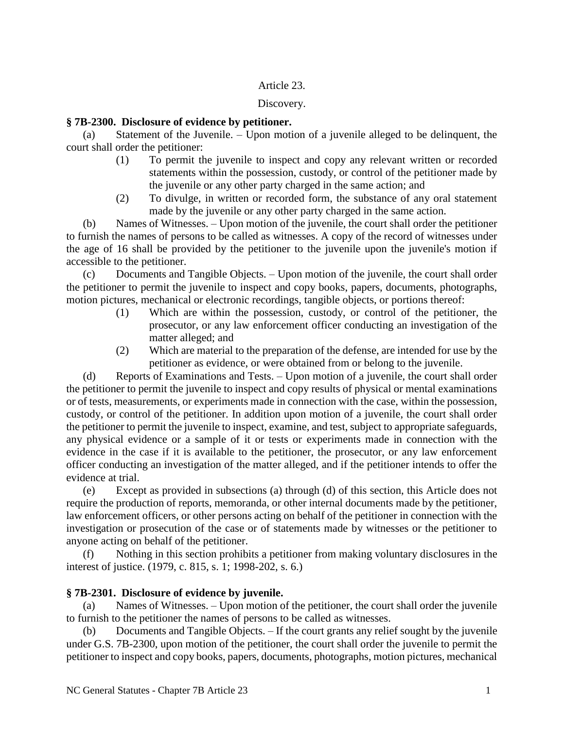# Article 23.

### Discovery.

## **§ 7B-2300. Disclosure of evidence by petitioner.**

(a) Statement of the Juvenile. – Upon motion of a juvenile alleged to be delinquent, the court shall order the petitioner:

- (1) To permit the juvenile to inspect and copy any relevant written or recorded statements within the possession, custody, or control of the petitioner made by the juvenile or any other party charged in the same action; and
- (2) To divulge, in written or recorded form, the substance of any oral statement made by the juvenile or any other party charged in the same action.

(b) Names of Witnesses. – Upon motion of the juvenile, the court shall order the petitioner to furnish the names of persons to be called as witnesses. A copy of the record of witnesses under the age of 16 shall be provided by the petitioner to the juvenile upon the juvenile's motion if accessible to the petitioner.

(c) Documents and Tangible Objects. – Upon motion of the juvenile, the court shall order the petitioner to permit the juvenile to inspect and copy books, papers, documents, photographs, motion pictures, mechanical or electronic recordings, tangible objects, or portions thereof:

- (1) Which are within the possession, custody, or control of the petitioner, the prosecutor, or any law enforcement officer conducting an investigation of the matter alleged; and
- (2) Which are material to the preparation of the defense, are intended for use by the petitioner as evidence, or were obtained from or belong to the juvenile.

(d) Reports of Examinations and Tests. – Upon motion of a juvenile, the court shall order the petitioner to permit the juvenile to inspect and copy results of physical or mental examinations or of tests, measurements, or experiments made in connection with the case, within the possession, custody, or control of the petitioner. In addition upon motion of a juvenile, the court shall order the petitioner to permit the juvenile to inspect, examine, and test, subject to appropriate safeguards, any physical evidence or a sample of it or tests or experiments made in connection with the evidence in the case if it is available to the petitioner, the prosecutor, or any law enforcement officer conducting an investigation of the matter alleged, and if the petitioner intends to offer the evidence at trial.

(e) Except as provided in subsections (a) through (d) of this section, this Article does not require the production of reports, memoranda, or other internal documents made by the petitioner, law enforcement officers, or other persons acting on behalf of the petitioner in connection with the investigation or prosecution of the case or of statements made by witnesses or the petitioner to anyone acting on behalf of the petitioner.

(f) Nothing in this section prohibits a petitioner from making voluntary disclosures in the interest of justice. (1979, c. 815, s. 1; 1998-202, s. 6.)

# **§ 7B-2301. Disclosure of evidence by juvenile.**

(a) Names of Witnesses. – Upon motion of the petitioner, the court shall order the juvenile to furnish to the petitioner the names of persons to be called as witnesses.

(b) Documents and Tangible Objects. – If the court grants any relief sought by the juvenile under G.S. 7B-2300, upon motion of the petitioner, the court shall order the juvenile to permit the petitioner to inspect and copy books, papers, documents, photographs, motion pictures, mechanical